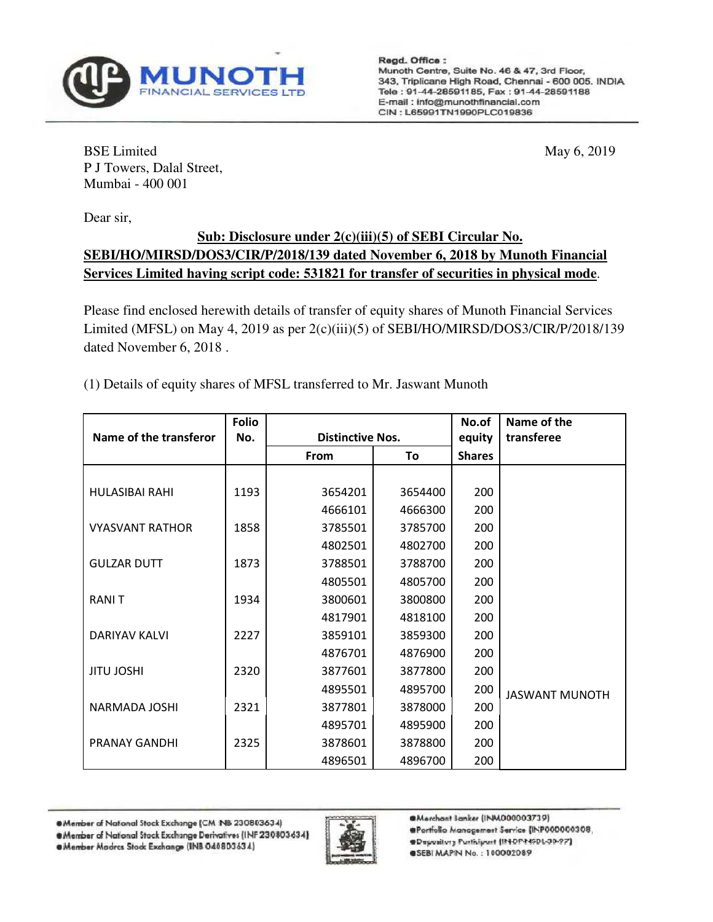

Regd. Office : Munoth Centre, Suite No. 46 & 47, 3rd Floor, 343, Triplicane High Road, Chennai - 600 005, INDIA Tele: 91-44-28591185, Fax: 91-44-28591188 E-mail: info@munothfinancial.com CIN: L65991TN1990PLC019836

BSE Limited May 6, 2019 P J Towers, Dalal Street, Mumbai - 400 001

Dear sir,

## **Sub: Disclosure under 2(c)(iii)(5) of SEBI Circular No. SEBI/HO/MIRSD/DOS3/CIR/P/2018/139 dated November 6, 2018 by Munoth Financial Services Limited having script code: 531821 for transfer of securities in physical mode**.

Please find enclosed herewith details of transfer of equity shares of Munoth Financial Services Limited (MFSL) on May 4, 2019 as per 2(c)(iii)(5) of SEBI/HO/MIRSD/DOS3/CIR/P/2018/139 dated November 6, 2018 .

(1) Details of equity shares of MFSL transferred to Mr. Jaswant Munoth

|                        | <b>Folio</b> |                         |         | No.of         | Name of the           |
|------------------------|--------------|-------------------------|---------|---------------|-----------------------|
| Name of the transferor | No.          | <b>Distinctive Nos.</b> |         | equity        | transferee            |
|                        |              | From                    | To      | <b>Shares</b> |                       |
|                        |              |                         |         |               |                       |
| <b>HULASIBAI RAHI</b>  | 1193         | 3654201                 | 3654400 | 200           |                       |
|                        |              | 4666101                 | 4666300 | 200           |                       |
| <b>VYASVANT RATHOR</b> | 1858         | 3785501                 | 3785700 | 200           |                       |
|                        |              | 4802501                 | 4802700 | 200           |                       |
| <b>GULZAR DUTT</b>     | 1873         | 3788501                 | 3788700 | 200           |                       |
|                        |              | 4805501                 | 4805700 | 200           |                       |
| <b>RANIT</b>           | 1934         | 3800601                 | 3800800 | 200           |                       |
|                        |              | 4817901                 | 4818100 | 200           |                       |
| DARIYAV KALVI          | 2227         | 3859101                 | 3859300 | 200           |                       |
|                        |              | 4876701                 | 4876900 | 200           |                       |
| <b>JITU JOSHI</b>      | 2320         | 3877601                 | 3877800 | 200           |                       |
|                        |              | 4895501                 | 4895700 | 200           | <b>JASWANT MUNOTH</b> |
| NARMADA JOSHI          | 2321         | 3877801                 | 3878000 | 200           |                       |
|                        |              | 4895701                 | 4895900 | 200           |                       |
| <b>PRANAY GANDHI</b>   | 2325         | 3878601                 | 3878800 | 200           |                       |
|                        |              | 4896501                 | 4896700 | 200           |                       |

<sup>@</sup>Member of National Stack Exchange (CM NB 230803634)

@Member Madres Stock Exchange (INB 040803634)



@Marchant Sanker (INM000003739)

- @Portfolio Managemest Service (INP000000308,
- **@Depository Participart (IN-DP-NSDL-30-97)**

@SEBI MAPIN No.: 100002089

<sup>@</sup>Member of National Stock Exchange Derivatives (INF 230803634)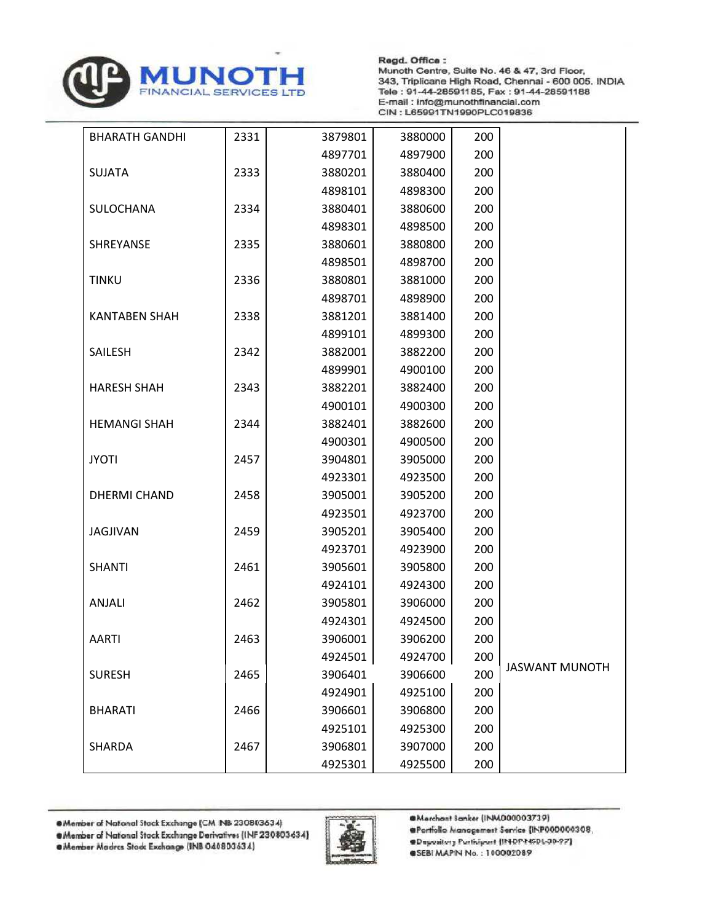

Regd. Office : Munoth Centre, Suite No. 46 & 47, 3rd Floor, 343, Triplicane High Road, Chennai - 600 005. INDIA Tele: 91-44-28591185, Fax: 91-44-28591188 E-mail: info@munothfinancial.com CIN: L65991TN1990PLC019836

| <b>BHARATH GANDHI</b> | 2331 | 3879801 | 3880000 | 200 |                       |
|-----------------------|------|---------|---------|-----|-----------------------|
|                       |      | 4897701 | 4897900 | 200 |                       |
| <b>SUJATA</b>         | 2333 | 3880201 | 3880400 | 200 |                       |
|                       |      | 4898101 | 4898300 | 200 |                       |
| SULOCHANA             | 2334 | 3880401 | 3880600 | 200 |                       |
|                       |      | 4898301 | 4898500 | 200 |                       |
| SHREYANSE             | 2335 | 3880601 | 3880800 | 200 |                       |
|                       |      | 4898501 | 4898700 | 200 |                       |
| <b>TINKU</b>          | 2336 | 3880801 | 3881000 | 200 |                       |
|                       |      | 4898701 | 4898900 | 200 |                       |
| <b>KANTABEN SHAH</b>  | 2338 | 3881201 | 3881400 | 200 |                       |
|                       |      | 4899101 | 4899300 | 200 |                       |
| SAILESH               | 2342 | 3882001 | 3882200 | 200 |                       |
|                       |      | 4899901 | 4900100 | 200 |                       |
| <b>HARESH SHAH</b>    | 2343 | 3882201 | 3882400 | 200 |                       |
|                       |      | 4900101 | 4900300 | 200 |                       |
| <b>HEMANGI SHAH</b>   | 2344 | 3882401 | 3882600 | 200 |                       |
|                       |      | 4900301 | 4900500 | 200 |                       |
| <b>JYOTI</b>          | 2457 | 3904801 | 3905000 | 200 |                       |
|                       |      | 4923301 | 4923500 | 200 |                       |
| <b>DHERMI CHAND</b>   | 2458 | 3905001 | 3905200 | 200 |                       |
|                       |      | 4923501 | 4923700 | 200 |                       |
| <b>JAGJIVAN</b>       | 2459 | 3905201 | 3905400 | 200 |                       |
|                       |      | 4923701 | 4923900 | 200 |                       |
| <b>SHANTI</b>         | 2461 | 3905601 | 3905800 | 200 |                       |
|                       |      | 4924101 | 4924300 | 200 |                       |
| ANJALI                | 2462 | 3905801 | 3906000 | 200 |                       |
|                       |      | 4924301 | 4924500 | 200 |                       |
| <b>AARTI</b>          | 2463 | 3906001 | 3906200 | 200 |                       |
|                       |      | 4924501 | 4924700 | 200 |                       |
| <b>SURESH</b>         | 2465 | 3906401 | 3906600 | 200 | <b>JASWANT MUNOTH</b> |
|                       |      | 4924901 | 4925100 | 200 |                       |
| <b>BHARATI</b>        | 2466 | 3906601 | 3906800 | 200 |                       |
|                       |      | 4925101 | 4925300 | 200 |                       |
| <b>SHARDA</b>         | 2467 | 3906801 | 3907000 | 200 |                       |
|                       |      | 4925301 | 4925500 | 200 |                       |

<sup>@</sup>Member of National Stack Exchange (CM NB 230803634)

@Member Madres Stock Exchange (INB 040803634)



@Merchant Sanker (INM000003739)

- @Portfolio Managemest Service (INP000000308,
- @Depository Participant (IN-DP-NSDL-30-97)

@SEBI MAPIN No.: 100002089

<sup>@</sup>Member of National Stock Exchange Derivatives (INF 230803634)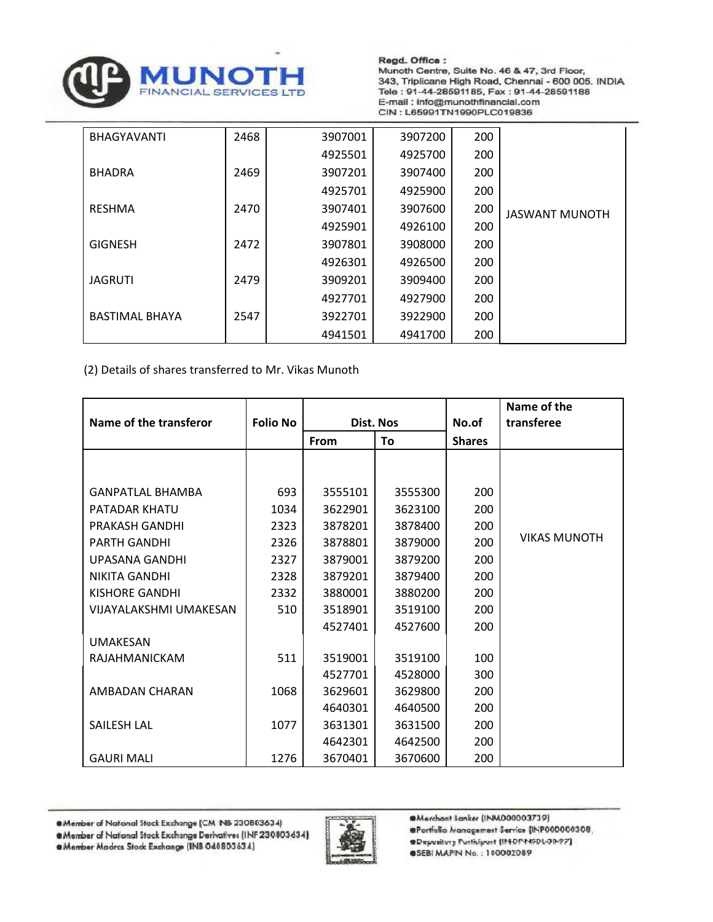

Regd. Office : Munoth Centre, Suite No. 46 & 47, 3rd Floor, 343, Triplicane High Road, Chennai - 600 005. INDIA Tele: 91-44-28591185, Fax: 91-44-28591188 E-mail: info@munothfinancial.com CIN: L65991TN1990PLC019836

| <b>BHAGYAVANTI</b>    | 2468 | 3907001 | 3907200 | 200 |                       |
|-----------------------|------|---------|---------|-----|-----------------------|
|                       |      | 4925501 | 4925700 | 200 |                       |
| <b>BHADRA</b>         | 2469 | 3907201 | 3907400 | 200 |                       |
|                       |      | 4925701 | 4925900 | 200 |                       |
| <b>RESHMA</b>         | 2470 | 3907401 | 3907600 | 200 | <b>JASWANT MUNOTH</b> |
|                       |      | 4925901 | 4926100 | 200 |                       |
| <b>GIGNESH</b>        | 2472 | 3907801 | 3908000 | 200 |                       |
|                       |      | 4926301 | 4926500 | 200 |                       |
| <b>JAGRUTI</b>        | 2479 | 3909201 | 3909400 | 200 |                       |
|                       |      | 4927701 | 4927900 | 200 |                       |
| <b>BASTIMAL BHAYA</b> | 2547 | 3922701 | 3922900 | 200 |                       |
|                       |      | 4941501 | 4941700 | 200 |                       |

(2) Details of shares transferred to Mr. Vikas Munoth

| Name of the transferor        | <b>Folio No</b> | <b>Dist. Nos</b> |         | No.of         | Name of the<br>transferee |
|-------------------------------|-----------------|------------------|---------|---------------|---------------------------|
|                               |                 | From             | To      | <b>Shares</b> |                           |
|                               |                 |                  |         |               |                           |
| <b>GANPATLAL BHAMBA</b>       | 693             | 3555101          | 3555300 | 200           |                           |
| PATADAR KHATU                 | 1034            | 3622901          | 3623100 | 200           |                           |
| PRAKASH GANDHI                | 2323            | 3878201          | 3878400 | 200           |                           |
| <b>PARTH GANDHI</b>           | 2326            | 3878801          | 3879000 | 200           | <b>VIKAS MUNOTH</b>       |
| <b>UPASANA GANDHI</b>         | 2327            | 3879001          | 3879200 | 200           |                           |
| <b>NIKITA GANDHI</b>          | 2328            | 3879201          | 3879400 | 200           |                           |
| <b>KISHORE GANDHI</b>         | 2332            | 3880001          | 3880200 | 200           |                           |
| <b>VIJAYALAKSHMI UMAKESAN</b> | 510             | 3518901          | 3519100 | 200           |                           |
|                               |                 | 4527401          | 4527600 | 200           |                           |
| <b>UMAKESAN</b>               |                 |                  |         |               |                           |
| RAJAHMANICKAM                 | 511             | 3519001          | 3519100 | 100           |                           |
|                               |                 | 4527701          | 4528000 | 300           |                           |
| AMBADAN CHARAN                | 1068            | 3629601          | 3629800 | 200           |                           |
|                               |                 | 4640301          | 4640500 | 200           |                           |
| <b>SAILESH LAL</b>            | 1077            | 3631301          | 3631500 | 200           |                           |
|                               |                 | 4642301          | 4642500 | 200           |                           |
| <b>GAURI MALI</b>             | 1276            | 3670401          | 3670600 | 200           |                           |

<sup>@</sup>Member of National Stock Exchange (CM NB 230803634)



. Member Madres Stock Exchange (INB 040803634)



@Merchant Sanker (INM000003739)

- @Portfolio Managemest Service (INP000000308,
- @Depository Participant (IN-DP-NSDL-30-97)

@SEBI MAPIN No.: 100002089